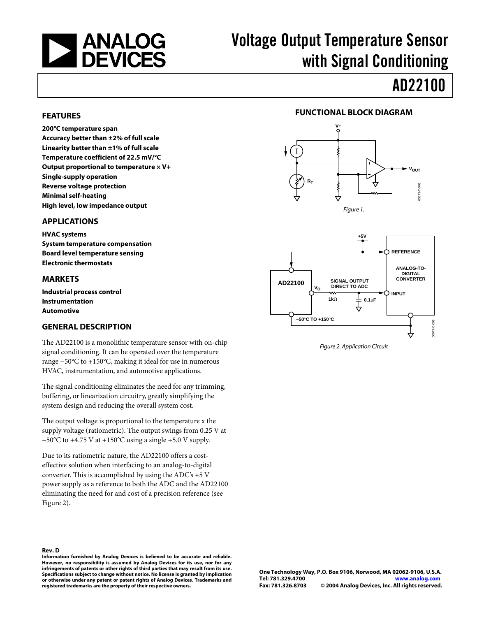

# Voltage Output Temperature Sensor with Signal Conditioning

# AD22100

#### **FEATURES**

**200°C temperature span Accuracy better than ±2% of full scale Linearity better than ±1% of full scale Temperature coefficient of 22.5 mV/°C Output proportional to temperature × V+ Single-supply operation Reverse voltage protection Minimal self-heating High level, low impedance output** 

#### **APPLICATIONS**

**HVAC systems System temperature compensation Board level temperature sensing Electronic thermostats** 

#### **MARKETS**

**Industrial process control Instrumentation Automotive** 

#### **GENERAL DESCRIPTION**

The AD2210[0 i](#page-0-0)s a monolithic temperature sensor with on-chip signal conditioning. It can be operated over the temperature range −50°C to +150°C, making it ideal for use in numerous HVAC, instrumentation, and automotive applications.

The signal conditioning eliminates the need for any trimming, buffering, or linearization circuitry, greatly simplifying the system design and reducing the overall system cost.

The output voltage is proportional to the temperature x the supply voltage (ratiometric). The output swings from 0.25 V at  $-50^{\circ}$ C to +4.75 V at +150°C using a single +5.0 V supply.

Due to its ratiometric nature, the AD22100 offers a costeffective solution when interfacing to an analog-to-digital converter. This is accomplished by using the ADC's +5 V power supply as a reference to both the ADC and the AD22100 eliminating the need for and cost of a precision reference (see Figure 2).



<span id="page-0-1"></span>

Figure 2. Application Circuit

**Information furnished by Analog Devices is believed to be accurate and reliable. However, no responsibility is assumed by Analog Devices for its use, nor for any infringements of patents or other rights of third parties that may result from its use. Specifications subject to change without notice. No license is granted by implication or otherwise under any patent or patent rights of Analog Devices. Trademarks and registered trademarks are the property of their respective owners.**

#### <span id="page-0-0"></span>**Rev. D**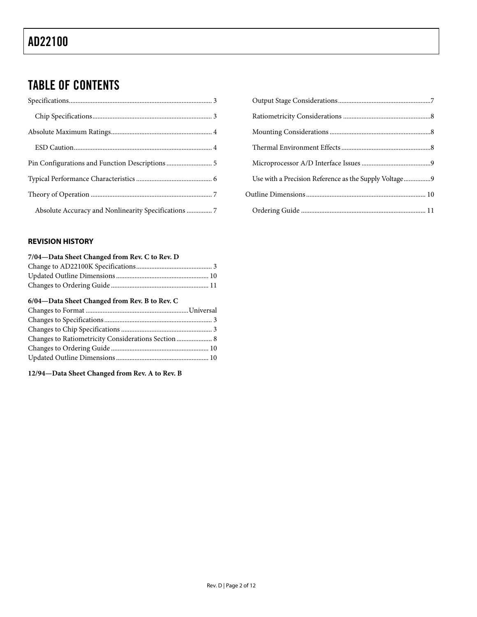# TABLE OF CONTENTS

| Absolute Accuracy and Nonlinearity Specifications  7 |  |
|------------------------------------------------------|--|

#### **REVISION HISTORY**

#### **7/04—Data Sheet Changed from Rev. C to Rev. D**

#### **6/04—Data Sheet Changed from Rev. B to Rev. C**

| Changes to Ratiometricity Considerations Section  8 |  |
|-----------------------------------------------------|--|
|                                                     |  |
|                                                     |  |

### **12/94—Data Sheet Changed from Rev. A to Rev. B**

| Use with a Precision Reference as the Supply Voltage9 |  |
|-------------------------------------------------------|--|
|                                                       |  |
|                                                       |  |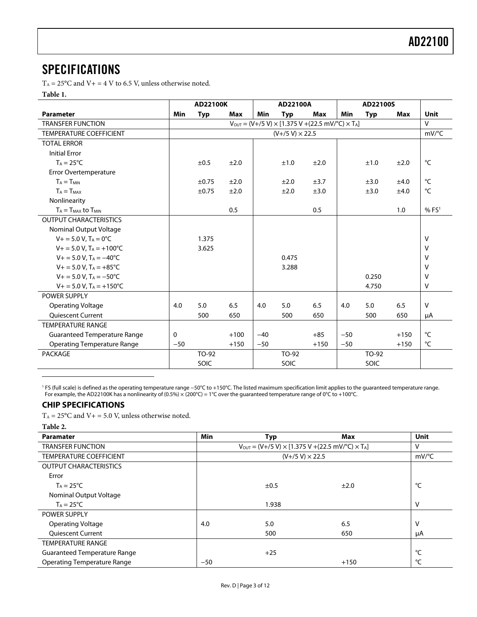## <span id="page-2-0"></span>**SPECIFICATIONS**

 $T_A = 25$ °C and V + = 4 V to 6.5 V, unless otherwise noted.

### **Table 1.**

|                                        |              | AD22100K   |            |       | AD22100A               |                                                                                   |       | AD22100S   |        |                   |
|----------------------------------------|--------------|------------|------------|-------|------------------------|-----------------------------------------------------------------------------------|-------|------------|--------|-------------------|
| <b>Parameter</b>                       | <b>Min</b>   | <b>Typ</b> | <b>Max</b> | Min   | <b>Typ</b>             | <b>Max</b>                                                                        | Min   | <b>Typ</b> | Max    | Unit              |
| <b>TRANSFER FUNCTION</b>               |              |            |            |       |                        | $V_{\text{OUT}} = (V + /5 V) \times [1.375 V + (22.5 mV)^{\circ}C) \times T_{A}]$ |       |            |        | $\mathsf{V}$      |
| <b>TEMPERATURE COEFFICIENT</b>         |              |            |            |       | $(V+/5 V) \times 22.5$ |                                                                                   |       |            |        | mV/°C             |
| <b>TOTAL ERROR</b>                     |              |            |            |       |                        |                                                                                   |       |            |        |                   |
| <b>Initial Error</b>                   |              |            |            |       |                        |                                                                                   |       |            |        |                   |
| $T_A = 25^{\circ}C$                    |              | ±0.5       | ±2.0       |       | ±1.0                   | ±2.0                                                                              |       | ±1.0       | ±2.0   | °C                |
| Error Overtemperature                  |              |            |            |       |                        |                                                                                   |       |            |        |                   |
| $T_A = T_{MIN}$                        |              | $\pm 0.75$ | ±2.0       |       | ±2.0                   | ±3.7                                                                              |       | ±3.0       | ±4.0   | $^{\circ}$ C      |
| $T_A = T_{MAX}$                        |              | $\pm 0.75$ | ±2.0       |       | ±2.0                   | ±3.0                                                                              |       | ±3.0       | ±4.0   | $^{\circ}$ C      |
| Nonlinearity                           |              |            |            |       |                        |                                                                                   |       |            |        |                   |
| $T_A = T_{MAX}$ to $T_{MIN}$           |              |            | 0.5        |       |                        | 0.5                                                                               |       |            | 1.0    | % FS <sup>1</sup> |
| <b>OUTPUT CHARACTERISTICS</b>          |              |            |            |       |                        |                                                                                   |       |            |        |                   |
| Nominal Output Voltage                 |              |            |            |       |                        |                                                                                   |       |            |        |                   |
| $V + = 5.0 V$ , $T_A = 0$ °C           |              | 1.375      |            |       |                        |                                                                                   |       |            |        | V                 |
| $V_+$ = 5.0 V, T <sub>A</sub> = +100°C |              | 3.625      |            |       |                        |                                                                                   |       |            |        | V                 |
| $V_+ = 5.0 V$ , $T_A = -40$ °C         |              |            |            |       | 0.475                  |                                                                                   |       |            |        | v                 |
| $V_+ = 5.0 V$ , $T_A = +85^{\circ}C$   |              |            |            |       | 3.288                  |                                                                                   |       |            |        | v                 |
| $V + = 5.0 V$ , $T_A = -50^{\circ}C$   |              |            |            |       |                        |                                                                                   |       | 0.250      |        | $\vee$            |
| $V_+ = 5.0 V$ , $T_A = +150^{\circ}C$  |              |            |            |       |                        |                                                                                   |       | 4.750      |        | V                 |
| <b>POWER SUPPLY</b>                    |              |            |            |       |                        |                                                                                   |       |            |        |                   |
| <b>Operating Voltage</b>               | 4.0          | 5.0        | 6.5        | 4.0   | 5.0                    | 6.5                                                                               | 4.0   | 5.0        | 6.5    | $\vee$            |
| <b>Oujescent Current</b>               |              | 500        | 650        |       | 500                    | 650                                                                               |       | 500        | 650    | μA                |
| <b>TEMPERATURE RANGE</b>               |              |            |            |       |                        |                                                                                   |       |            |        |                   |
| Guaranteed Temperature Range           | $\mathbf{0}$ |            | $+100$     | $-40$ |                        | $+85$                                                                             | $-50$ |            | $+150$ | °C                |
| <b>Operating Temperature Range</b>     | $-50$        |            | $+150$     | $-50$ |                        | $+150$                                                                            | $-50$ |            | $+150$ | °C                |
| <b>PACKAGE</b>                         |              | TO-92      |            |       | TO-92                  |                                                                                   |       | TO-92      |        |                   |
|                                        |              | SOIC       |            |       | SOIC                   |                                                                                   |       | SOIC       |        |                   |

1 FS (full scale) is defined as the operating temperature range −50°C to +150°C. The listed maximum specification limit applies to the guaranteed temperature range. For example, the AD22100K has a nonlinearity of (0.5%)  $\times$  (200°C) = 1°C over the guaranteed temperature range of 0°C to +100°C.

### **CHIP SPECIFICATIONS**

 $T_A = 25^{\circ}$ C and  $V_+ = 5.0$  V, unless otherwise noted.

**Table 2.** 

 $\overline{a}$ 

| <b>Paramater</b>                   | Min   | <b>Typ</b>                                                                              | Max    | <b>Unit</b>         |
|------------------------------------|-------|-----------------------------------------------------------------------------------------|--------|---------------------|
| <b>TRANSFER FUNCTION</b>           |       | $V_{\text{OUT}} = (V + /5 V) \times [1.375 V + (22.5 mV)^{\circ}C] \times T_{\text{A}}$ |        | V                   |
| <b>TEMPERATURE COEFFICIENT</b>     |       | $(V+ / 5 V) \times 22.5$                                                                |        | $mV$ <sup>o</sup> C |
| <b>OUTPUT CHARACTERISTICS</b>      |       |                                                                                         |        |                     |
| Error                              |       |                                                                                         |        |                     |
| $T_A = 25^{\circ}C$                |       | ±0.5                                                                                    | ±2.0   | °C                  |
| Nominal Output Voltage             |       |                                                                                         |        |                     |
| $T_A = 25^{\circ}C$                |       | 1.938                                                                                   |        | v                   |
| <b>POWER SUPPLY</b>                |       |                                                                                         |        |                     |
| <b>Operating Voltage</b>           | 4.0   | 5.0                                                                                     | 6.5    | V                   |
| <b>Quiescent Current</b>           |       | 500                                                                                     | 650    | μA                  |
| <b>TEMPERATURE RANGE</b>           |       |                                                                                         |        |                     |
| Guaranteed Temperature Range       |       | $+25$                                                                                   |        | °⊂                  |
| <b>Operating Temperature Range</b> | $-50$ |                                                                                         | $+150$ | °C                  |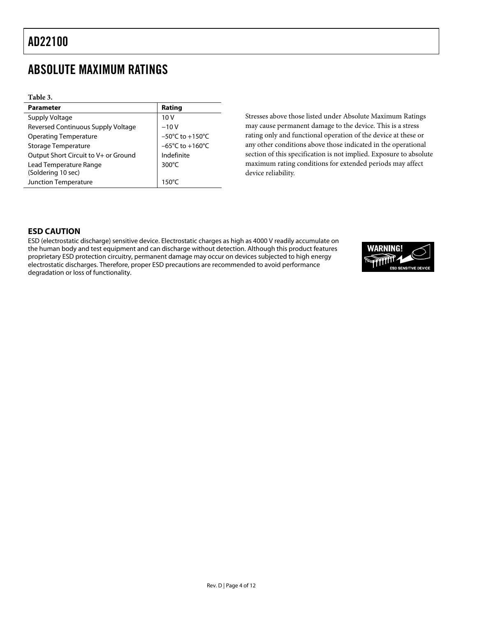## <span id="page-3-0"></span>ABSOLUTE MAXIMUM RATINGS

| Table 3.                             |                                     |
|--------------------------------------|-------------------------------------|
| <b>Parameter</b>                     | Rating                              |
| Supply Voltage                       | 10V                                 |
| Reversed Continuous Supply Voltage   | $-10V$                              |
| <b>Operating Temperature</b>         | $-50^{\circ}$ C to $+150^{\circ}$ C |
| Storage Temperature                  | $-65^{\circ}$ C to $+160^{\circ}$ C |
| Output Short Circuit to V+ or Ground | Indefinite                          |
| Lead Temperature Range               | 300°C                               |
| (Soldering 10 sec)                   |                                     |
| Junction Temperature                 | 150°C                               |

Stresses above those listed under Absolute Maximum Ratings may cause permanent damage to the device. This is a stress rating only and functional operation of the device at these or any other conditions above those indicated in the operational section of this specification is not implied. Exposure to absolute maximum rating conditions for extended periods may affect device reliability.

### **ESD CAUTION**

ESD (electrostatic discharge) sensitive device. Electrostatic charges as high as 4000 V readily accumulate on the human body and test equipment and can discharge without detection. Although this product features proprietary ESD protection circuitry, permanent damage may occur on devices subjected to high energy electrostatic discharges. Therefore, proper ESD precautions are recommended to avoid performance degradation or loss of functionality.

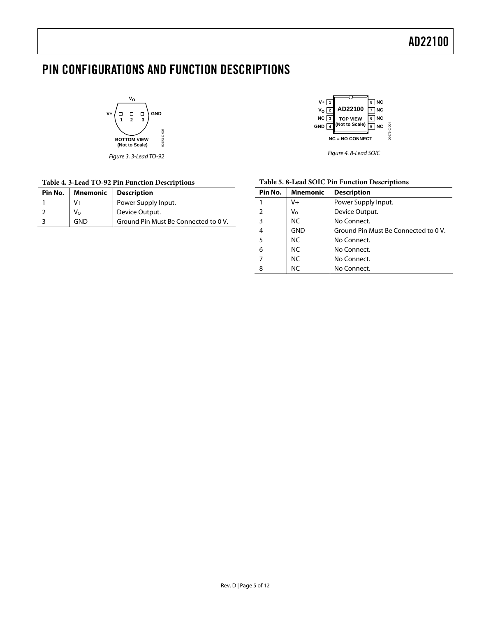# <span id="page-4-0"></span>PIN CONFIGURATIONS AND FUNCTION DESCRIPTIONS

**VO**  $\begin{array}{ccc} & \square & \square \end{array}$ **GND V+**  $\Box$  $\overline{1}$   $\overline{2}$   $\overline{3}$ 00673-C-003 00673-C-003 **BOTTOM VIEW (Not to Scale)**

Figure 3. 3-Lead TO-92

#### **Table 4. 3-Lead TO-92 Pin Function Descriptions**

| Pin No. |              | <b>Mnemonic</b>   Description        |
|---------|--------------|--------------------------------------|
|         | V+           | Power Supply Input.                  |
|         | $V_{\Omega}$ | Device Output.                       |
|         | GND          | Ground Pin Must Be Connected to 0 V. |



Figure 4. 8-Lead SOIC

| Table 5.8-Lead SOIC Pin Function Descriptions |  |  |
|-----------------------------------------------|--|--|
|-----------------------------------------------|--|--|

| Pin No. | <b>Mnemonic</b> | <b>Description</b>                   |
|---------|-----------------|--------------------------------------|
|         | $V +$           | Power Supply Input.                  |
|         | V <sub>o</sub>  | Device Output.                       |
| 3       | NC.             | No Connect.                          |
| 4       | <b>GND</b>      | Ground Pin Must Be Connected to 0 V. |
| 5       | NC.             | No Connect.                          |
| 6       | NC.             | No Connect.                          |
|         | <b>NC</b>       | No Connect.                          |
| 8       | NC.             | No Connect.                          |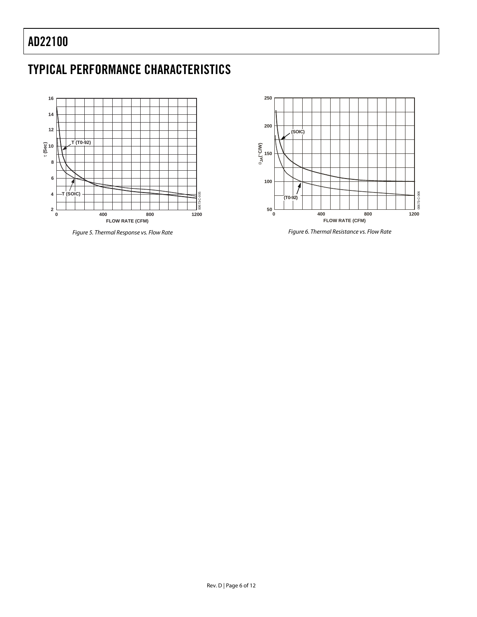# <span id="page-5-0"></span>AD22100

# TYPICAL PERFORMANCE CHARACTERISTICS



Figure 5. Thermal Response vs. Flow Rate



Figure 6. Thermal Resistance vs. Flow Rate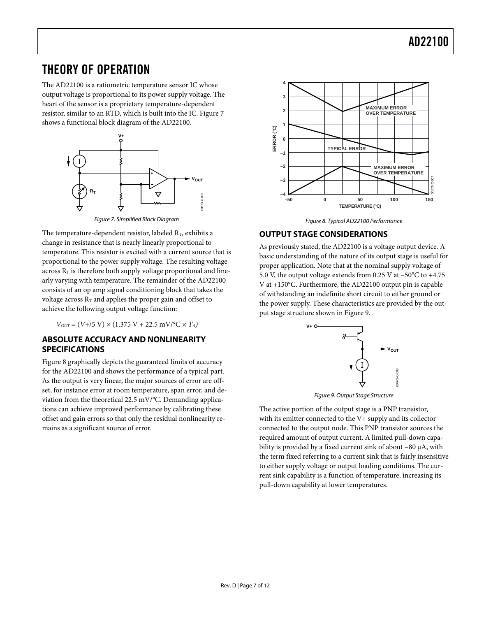### <span id="page-6-0"></span>THEORY OF OPERATION

The AD22100 is a ratiometric temperature sensor IC whose output voltage is proportional to its power supply voltage. The heart of the sensor is a proprietary temperature-dependent resistor, similar to an RTD, which is built into the IC. [Figure 7](#page-6-1)  shows a functional block diagram of the AD22100.

<span id="page-6-1"></span>

Figure 7. Simplified Block Diagram

The temperature-dependent resistor, labeled  $R_T$ , exhibits a change in resistance that is nearly linearly proportional to temperature. This resistor is excited with a current source that is proportional to the power supply voltage. The resulting voltage across  $R<sub>T</sub>$  is therefore both supply voltage proportional and linearly varying with temperature. The remainder of the AD22100 consists of an op amp signal conditioning block that takes the voltage across  $R_T$  and applies the proper gain and offset to achieve the following output voltage function:

 $V_{OUT} = (V + /5 V) \times (1.375 V + 22.5 mV)^{\circ}C \times T_A$ 

### **ABSOLUTE ACCURACY AND NONLINEARITY SPECIFICATIONS**

[Figure 8 g](#page-6-2)raphically depicts the guaranteed limits of accuracy for the AD22100 and shows the performance of a typical part. As the output is very linear, the major sources of error are offset, for instance error at room temperature, span error, and deviation from the theoretical 22.5 mV/°C. Demanding applications can achieve improved performance by calibrating these offset and gain errors so that only the residual nonlinearity remains as a significant source of error.

<span id="page-6-2"></span>

Figure 8. Typical AD22100 Performance

### **OUTPUT STAGE CONSIDERATIONS**

As previously stated, the AD22100 is a voltage output device. A basic understanding of the nature of its output stage is useful for proper application. Note that at the nominal supply voltage of 5.0 V, the output voltage extends from 0.25 V at –50°C to +4.75 V at +150°C. Furthermore, the AD22100 output pin is capable of withstanding an indefinite short circuit to either ground or the power supply. These characteristics are provided by the output stage structure shown in [Figure 9.](#page-6-3) 

<span id="page-6-3"></span>

Figure 9. Output Stage Structure

The active portion of the output stage is a PNP transistor, with its emitter connected to the V+ supply and its collector connected to the output node. This PNP transistor sources the required amount of output current. A limited pull-down capability is provided by a fixed current sink of about −80 µA, with the term fixed referring to a current sink that is fairly insensitive to either supply voltage or output loading conditions. The current sink capability is a function of temperature, increasing its pull-down capability at lower temperatures.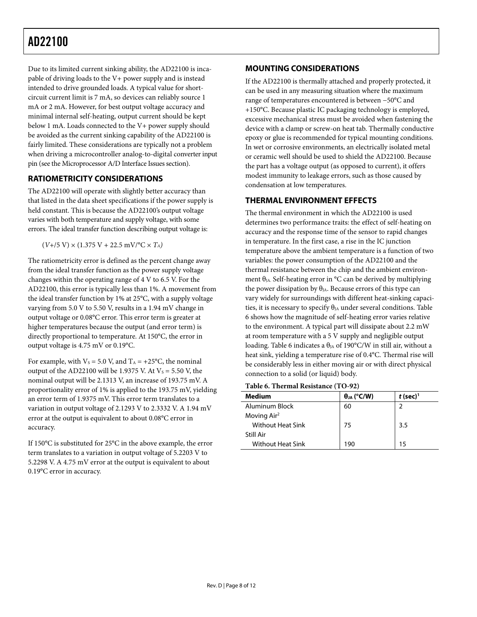# <span id="page-7-0"></span>AD22100

Due to its limited current sinking ability, the AD22100 is incapable of driving loads to the V+ power supply and is instead intended to drive grounded loads. A typical value for shortcircuit current limit is 7 mA, so devices can reliably source 1 mA or 2 mA. However, for best output voltage accuracy and minimal internal self-heating, output current should be kept below 1 mA. Loads connected to the V+ power supply should be avoided as the current sinking capability of the AD22100 is fairly limited. These considerations are typically not a problem when driving a microcontroller analog-to-digital converter input pin (see the [Microprocessor A/D Interface Issues s](#page-8-2)ection).

### **RATIOMETRICITY CONSIDERATIONS**

The AD22100 will operate with slightly better accuracy than that listed in the data sheet specifications if the power supply is held constant. This is because the AD22100's output voltage varies with both temperature and supply voltage, with some errors. The ideal transfer function describing output voltage is:

 $(V+$ /5 V) × (1.375 V + 22.5 mV/°C ×  $T_A$ )

The ratiometricity error is defined as the percent change away from the ideal transfer function as the power supply voltage changes within the operating range of 4 V to 6.5 V. For the AD22100, this error is typically less than 1%. A movement from the ideal transfer function by 1% at 25°C, with a supply voltage varying from 5.0 V to 5.50 V, results in a 1.94 mV change in output voltage or 0.08°C error. This error term is greater at higher temperatures because the output (and error term) is directly proportional to temperature. At 150°C, the error in output voltage is 4.75 mV or 0.19°C.

For example, with  $V_s = 5.0$  V, and  $T_A = +25$ °C, the nominal output of the AD22100 will be 1.9375 V. At  $V_s = 5.50$  V, the nominal output will be 2.1313 V, an increase of 193.75 mV. A proportionality error of 1% is applied to the 193.75 mV, yielding an error term of 1.9375 mV. This error term translates to a variation in output voltage of 2.1293 V to 2.3332 V. A 1.94 mV error at the output is equivalent to about 0.08°C error in accuracy.

If 150°C is substituted for 25°C in the above example, the error term translates to a variation in output voltage of 5.2203 V to 5.2298 V. A 4.75 mV error at the output is equivalent to about 0.19°C error in accuracy.

### **MOUNTING CONSIDERATIONS**

If the AD22100 is thermally attached and properly protected, it can be used in any measuring situation where the maximum range of temperatures encountered is between −50°C and +150°C. Because plastic IC packaging technology is employed, excessive mechanical stress must be avoided when fastening the device with a clamp or screw-on heat tab. Thermally conductive epoxy or glue is recommended for typical mounting conditions. In wet or corrosive environments, an electrically isolated metal or ceramic well should be used to shield the AD22100. Because the part has a voltage output (as opposed to current), it offers modest immunity to leakage errors, such as those caused by condensation at low temperatures.

### **THERMAL ENVIRONMENT EFFECTS**

The thermal environment in which the AD22100 is used determines two performance traits: the effect of self-heating on accuracy and the response time of the sensor to rapid changes in temperature. In the first case, a rise in the IC junction temperature above the ambient temperature is a function of two variables: the power consumption of the AD22100 and the thermal resistance between the chip and the ambient environment  $\theta_{JA}$ . Self-heating error in °C can be derived by multiplying the power dissipation by  $\theta_{JA}$ . Because errors of this type can vary widely for surroundings with different heat-sinking capacities, it is necessary to specify  $\theta_{JA}$  under several conditions. Table [6 s](#page-7-1)hows how the magnitude of self-heating error varies relative to the environment. A typical part will dissipate about 2.2 mW at room temperature with a 5 V supply and negligible output loading. [Table 6 i](#page-7-1)ndicates a  $\theta_{IA}$  of 190°C/W in still air, without a heat sink, yielding a temperature rise of 0.4°C. Thermal rise will be considerably less in either moving air or with direct physical connection to a solid (or liquid) body.

<span id="page-7-1"></span>**Table 6. Thermal Resistance (TO-92)** 

| Medium                   | $\theta_{JA}$ (°C/W) | $t$ (sec) <sup>1</sup> |
|--------------------------|----------------------|------------------------|
| Aluminum Block           | 60                   |                        |
| Moving Air <sup>2</sup>  |                      |                        |
| <b>Without Heat Sink</b> | 75                   | 3.5                    |
| Still Air                |                      |                        |
| <b>Without Heat Sink</b> | 190                  | 15                     |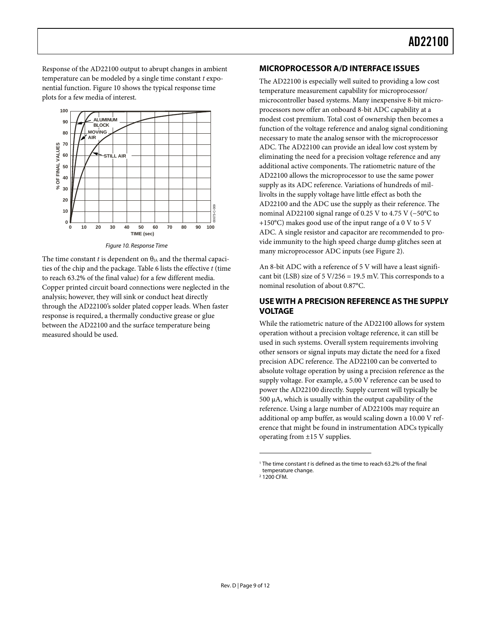<span id="page-8-0"></span>Response of the AD22100 output to abrupt changes in ambient temperature can be modeled by a single time constant *t* exponential function. [Figure 10 s](#page-8-4)hows the typical response time plots for a few media of interest.

<span id="page-8-4"></span>

Figure 10. Response Time

<span id="page-8-1"></span>The time constant *t* is dependent on  $\theta_{JA}$  and the thermal capacities of the chip and the package. [Table 6 l](#page-7-1)ists the effective *t* (time to reach 63.2% of the final value) for a few different media. Copper printed circuit board connections were neglected in the analysis; however, they will sink or conduct heat directly through the AD22100's solder plated copper leads. When faster response is required, a thermally conductive grease or glue between the AD22100 and the surface temperature being measured should be used.

#### <span id="page-8-2"></span>**MICROPROCESSOR A/D INTERFACE ISSUES**

The AD22100 is especially well suited to providing a low cost temperature measurement capability for microprocessor/ microcontroller based systems. Many inexpensive 8-bit microprocessors now offer an onboard 8-bit ADC capability at a modest cost premium. Total cost of ownership then becomes a function of the voltage reference and analog signal conditioning necessary to mate the analog sensor with the microprocessor ADC. The AD22100 can provide an ideal low cost system by eliminating the need for a precision voltage reference and any additional active components. The ratiometric nature of the AD22100 allows the microprocessor to use the same power supply as its ADC reference. Variations of hundreds of millivolts in the supply voltage have little effect as both the AD22100 and the ADC use the supply as their reference. The nominal AD22100 signal range of 0.25 V to 4.75 V (−50°C to +150°C) makes good use of the input range of a 0 V to 5 V ADC. A single resistor and capacitor are recommended to provide immunity to the high speed charge dump glitches seen at many microprocessor ADC inputs (see [Figure 2\).](#page-0-1)

An 8-bit ADC with a reference of 5 V will have a least significant bit (LSB) size of  $5 \text{ V}/256 = 19.5 \text{ mV}$ . This corresponds to a nominal resolution of about 0.87°C.

### **USE WITH A PRECISION REFERENCE AS THE SUPPLY VOLTAGE**

While the ratiometric nature of the AD22100 allows for system operation without a precision voltage reference, it can still be used in such systems. Overall system requirements involving other sensors or signal inputs may dictate the need for a fixed precision ADC reference. The AD22100 can be converted to absolute voltage operation by using a precision reference as the supply voltage. For example, a 5.00 V reference can be used to power the AD22100 directly. Supply current will typically be 500 µA, which is usually within the output capability of the reference. Using a large number of AD22100s may require an additional op amp buffer, as would scaling down a 10.00 V reference that might be found in instrumentation ADCs typically operating from ±15 V supplies.

 $\overline{a}$ 

<span id="page-8-3"></span><sup>&</sup>lt;sup>1</sup> The time constant t is defined as the time to reach 63.2% of the final temperature change.

<sup>2</sup> 1200 CFM.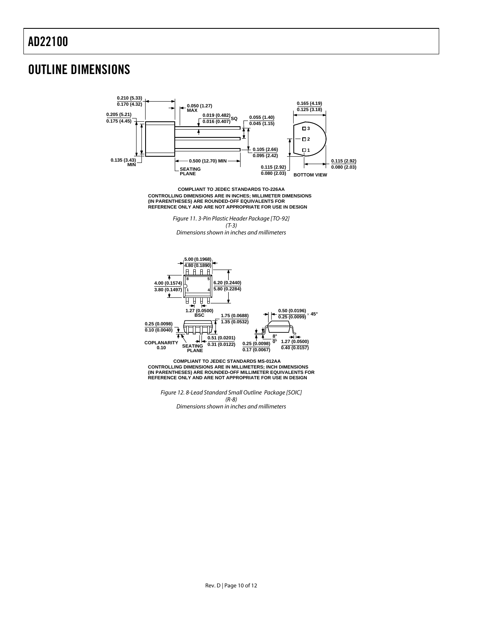### <span id="page-9-0"></span>OUTLINE DIMENSIONS



**CONTROLLING DIMENSIONS ARE IN INCHES; MILLIMETER DIMENSIONS (IN PARENTHESES) ARE ROUNDED-OFF EQUIVALENTS FOR REFERENCE ONLY AND ARE NOT APPROPRIATE FOR USE IN DESIGN COMPLIANT TO JEDEC STANDARDS TO-226AA**

> Figure 11. 3-Pin Plastic Header Package [TO-92] (T-3)

Dimensions shown in inches and millimeters

![](_page_9_Figure_6.jpeg)

**CONTROLLING DIMENSIONS ARE IN MILLIMETERS; INCH DIMENSIONS (IN PARENTHESES) ARE ROUNDED-OFF MILLIMETER EQUIVALENTS FOR REFERENCE ONLY AND ARE NOT APPROPRIATE FOR USE IN DESIGN COMPLIANT TO JEDEC STANDARDS MS-012AA**

Figure 12. 8-Lead Standard Small Outline Package [SOIC] (R-8) Dimensions shown in inches and millimeters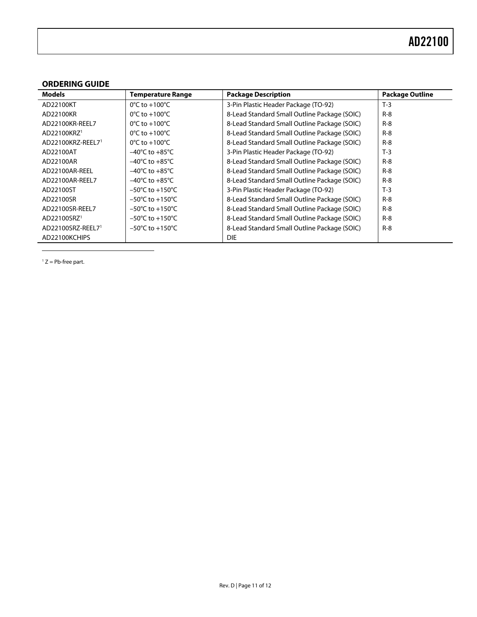### <span id="page-10-0"></span>**ORDERING GUIDE**

<span id="page-10-2"></span>

| <b>Models</b>           | <b>Temperature Range</b>            | <b>Package Description</b>                   | <b>Package Outline</b> |
|-------------------------|-------------------------------------|----------------------------------------------|------------------------|
| AD22100KT               | $0^{\circ}$ C to +100 $^{\circ}$ C  | 3-Pin Plastic Header Package (TO-92)         | $T-3$                  |
| AD22100KR               | $0^{\circ}$ C to +100 $^{\circ}$ C  | 8-Lead Standard Small Outline Package (SOIC) | $R - 8$                |
| AD22100KR-REEL7         | $0^{\circ}$ C to +100 $^{\circ}$ C  | 8-Lead Standard Small Outline Package (SOIC) | $R - 8$                |
| AD22100KRZ <sup>1</sup> | $0^{\circ}$ C to +100 $^{\circ}$ C  | 8-Lead Standard Small Outline Package (SOIC) | $R - 8$                |
| AD22100KRZ-REEL71       | $0^{\circ}$ C to +100 $^{\circ}$ C  | 8-Lead Standard Small Outline Package (SOIC) | $R - 8$                |
| AD22100AT               | $-40^{\circ}$ C to $+85^{\circ}$ C  | 3-Pin Plastic Header Package (TO-92)         | $T-3$                  |
| AD22100AR               | $-40^{\circ}$ C to $+85^{\circ}$ C  | 8-Lead Standard Small Outline Package (SOIC) | $R - 8$                |
| AD22100AR-REEL          | $-40^{\circ}$ C to $+85^{\circ}$ C  | 8-Lead Standard Small Outline Package (SOIC) | $R - 8$                |
| AD22100AR-REEL7         | $-40^{\circ}$ C to $+85^{\circ}$ C  | 8-Lead Standard Small Outline Package (SOIC) | $R - 8$                |
| AD22100ST               | $-50^{\circ}$ C to $+150^{\circ}$ C | 3-Pin Plastic Header Package (TO-92)         | $T-3$                  |
| AD22100SR               | $-50^{\circ}$ C to $+150^{\circ}$ C | 8-Lead Standard Small Outline Package (SOIC) | $R - 8$                |
| AD22100SR-REEL7         | $-50^{\circ}$ C to $+150^{\circ}$ C | 8-Lead Standard Small Outline Package (SOIC) | $R - 8$                |
| AD22100SRZ <sup>1</sup> | $-50^{\circ}$ C to $+150^{\circ}$ C | 8-Lead Standard Small Outline Package (SOIC) | $R-8$                  |
| AD22100SRZ-REEL71       | $-50^{\circ}$ C to $+150^{\circ}$ C | 8-Lead Standard Small Outline Package (SOIC) | $R-8$                  |
| AD22100KCHIPS           |                                     | <b>DIE</b>                                   |                        |

<span id="page-10-3"></span><span id="page-10-1"></span> $1 Z = Pb$ -free part.

 $\overline{a}$